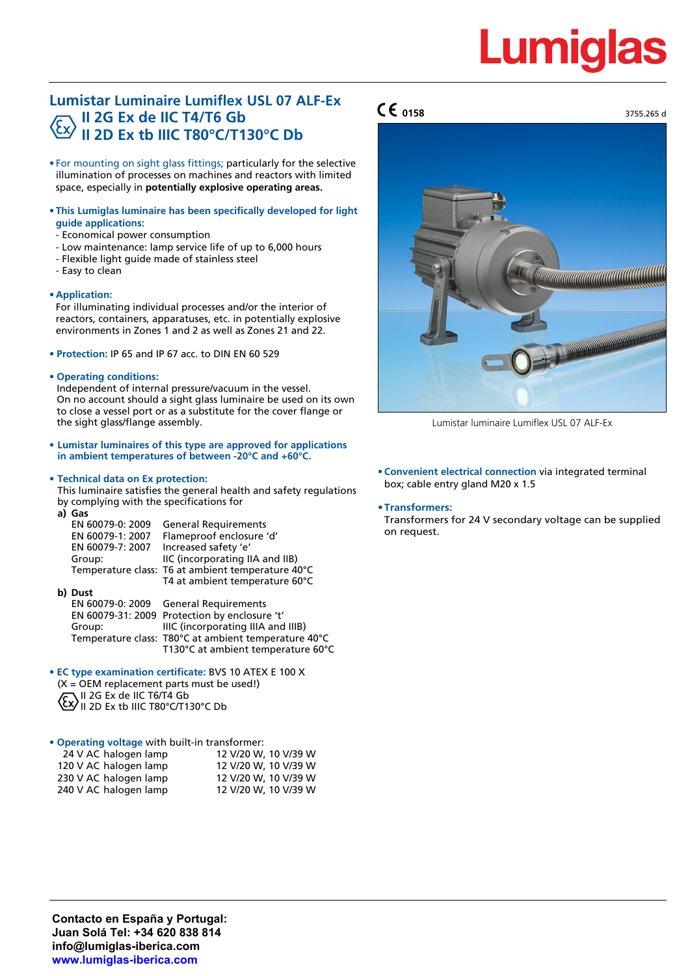# Lumid

# **Lumistar Luminaire Lumiflex USL 07 ALF-Ex II 2G Ex de IIC T4/T6 Gb II 2D Ex tb IIIC T80°C/T130°C Db**

- For mounting on sight glass fittings; particularly for the selective illumination of processes on machines and reactors with limited space, especially in **potentially explosive operating areas.**
- **This Lumiglas luminaire has been specifically developed for light guide applications:**
- Economical power consumption
- Low maintenance: lamp service life of up to 6,000 hours
- Flexible light guide made of stainless steel
- Easy to clean

## • **Application:**

For illuminating individual processes and/or the interior of reactors, containers, apparatuses, etc. in potentially explosive environments in Zones 1 and 2 as well as Zones 21 and 22.

- **• Protection:** IP 65 and IP 67 acc. to DIN EN 60 529
- **• Operating conditions:**

Independent of internal pressure/vacuum in the vessel. On no account should a sight glass luminaire be used on its own to close a vessel port or as a substitute for the cover flange or the sight glass/flange assembly.

**• Lumistar luminaires of this type are approved for applications in ambient temperatures of between -20°C and +60°C.**

## **• Technical data on Ex protection:**

This luminaire satisfies the general health and safety regulations by complying with the specifications for

| a) | Gas              |                                                   |
|----|------------------|---------------------------------------------------|
|    | EN 60079-0: 2009 | <b>General Requirements</b>                       |
|    | EN 60079-1: 2007 | Flameproof enclosure 'd'                          |
|    | EN 60079-7: 2007 | Increased safety 'e'                              |
|    | Group:           | IIC (incorporating IIA and IIB)                   |
|    |                  | Temperature class: T6 at ambient temperature 40°C |
|    |                  | T4 at ambient temperature 60°C                    |

**b) Dust General Requirements** EN 60079-31: 2009 Protection by enclosure 't' Group: IIIC (incorporating IIIA and IIIB) Temperature class: T80°C at ambient temperature 40°C T130°C at ambient temperature 60°C

- **• EC type examination certificate:** BVS 10 ATEX E 100 X
- $(X = OEM$  replacement parts must be used!) II 2G Ex de IIC T6/T4 Gb II 2D Ex tb IIIC T80°C/T130°C Db

**• Operating voltage** with built-in transformer:

| 24 V AC halogen lamp  | 12 V/20 W, 10 V/39 W |
|-----------------------|----------------------|
| 120 V AC halogen lamp | 12 V/20 W, 10 V/39 W |
| 230 V AC halogen lamp | 12 V/20 W, 10 V/39 W |
| 240 V AC halogen lamp | 12 V/20 W, 10 V/39 W |

# **0158** 3755.265 d



Lumistar luminaire Lumiflex USL 07 ALF-Ex

• **Convenient electrical connection** via integrated terminal box; cable entry gland M20 x 1.5

#### **•Transformers:**

Transformers for 24 V secondary voltage can be supplied on request.